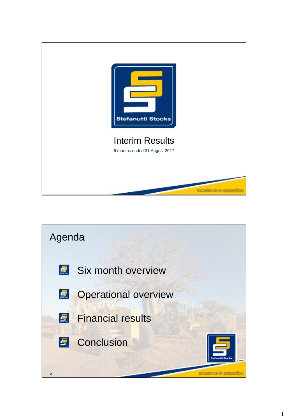

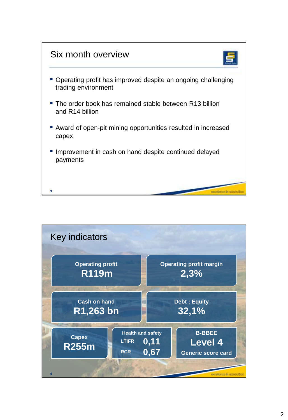

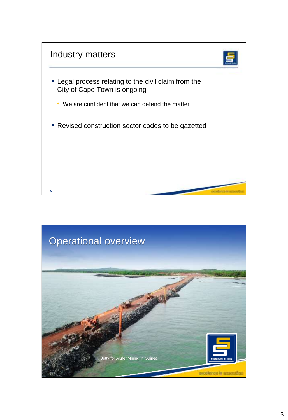

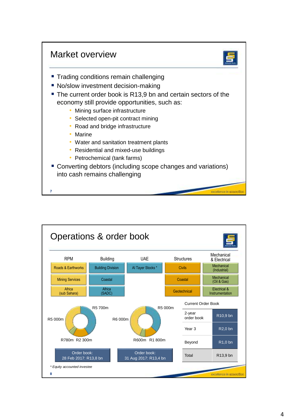



- **Trading conditions remain challenging**
- **No/slow investment decision-making**
- The current order book is R13.9 bn and certain sectors of the economy still provide opportunities, such as:
	- Mining surface infrastructure
	- Selected open-pit contract mining
	- Road and bridge infrastructure
	- Marine

**7**

- Water and sanitation treatment plants
- Residential and mixed-use buildings
- Petrochemical (tank farms)
- Converting debtors (including scope changes and variations) into cash remains challenging

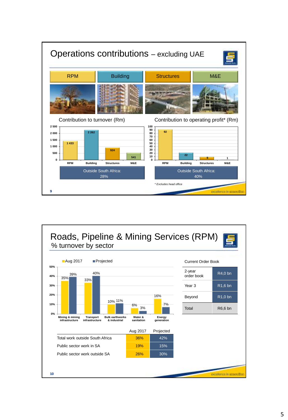

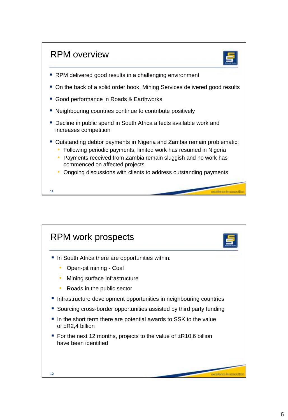

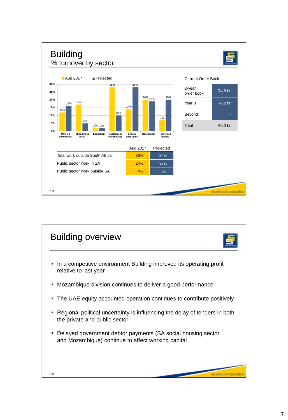

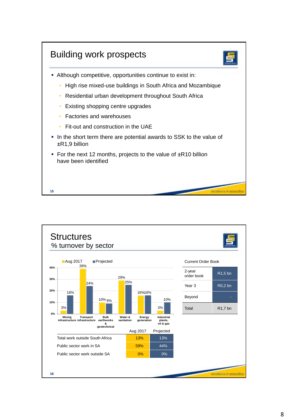

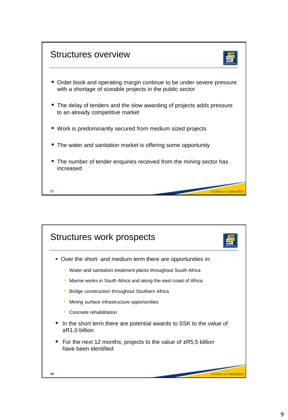

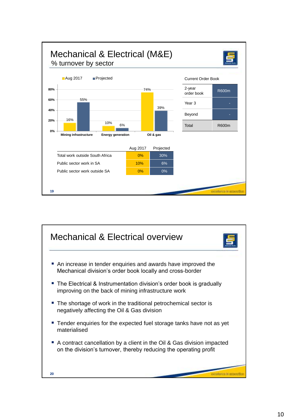

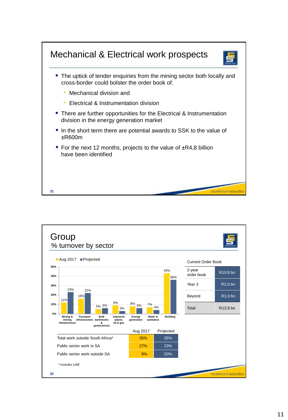

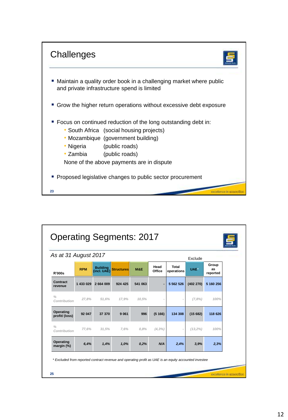

| As at 31 August 2017          |            |                                |                   |         |                |                     | Exclude    |                         |
|-------------------------------|------------|--------------------------------|-------------------|---------|----------------|---------------------|------------|-------------------------|
| <b>R'000s</b>                 | <b>RPM</b> | <b>Building</b><br>(incl. UAE) | <b>Structures</b> | M&E     | Head<br>Office | Total<br>operations | UAE*       | Group<br>as<br>reported |
| Contract<br>revenue           | 1 433 029  | 2 664 009                      | 924 425           | 541 063 |                | 5 5 6 2 5 2 6       | (402 270)  | 5 160 256               |
| $\frac{0}{0}$<br>Contribution | 27.8%      | 51.6%                          | 17.9%             | 10.5%   |                |                     | (7,8%)     | 100%                    |
| Operating<br>profit/(loss)    | 92 047     | 37 370                         | 9 0 61            | 996     | (5166)         | 134 308             | (15682)    | 118 626                 |
| $\frac{0}{0}$<br>Contribution | 77.6%      | 31.5%                          | 7.6%              | 0.8%    | $(4, 3\%)$     |                     | $(13,2\%)$ | 100%                    |
| Operating<br>margin (%)       | 6,4%       | 1,4%                           | 1,0%              | 0,2%    | N/A            | 2,4%                | 3.9%       | 2,3%                    |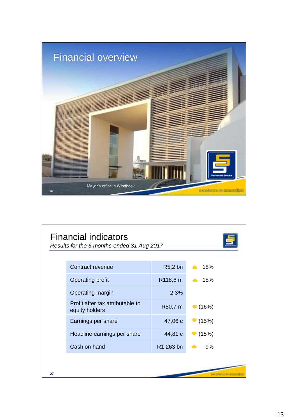

|    | <b>Financial indicators</b><br>Results for the 6 months ended 31 Aug 2017 |           |                            |
|----|---------------------------------------------------------------------------|-----------|----------------------------|
|    | Contract revenue                                                          | $R5,2$ bn | $\triangle$ 18%            |
|    | Operating profit                                                          | R118,6 m  | $+18%$                     |
|    | Operating margin                                                          | 2,3%      |                            |
|    | Profit after tax attributable to<br>equity holders                        | R80,7 m   | $\blacktriangledown$ (16%) |
|    | Earnings per share                                                        | 47,06 c   | (15%)                      |
|    | Headline earnings per share                                               | 44,81 c   | $\blacktriangledown$ (15%) |
|    | Cash on hand                                                              | R1,263 bn | 9%                         |
|    |                                                                           |           |                            |
| 27 |                                                                           |           |                            |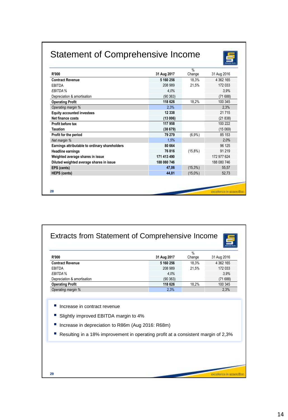## Statement of Comprehensive Income



| <b>R'000</b>                                   | 31 Aug 2017 | $\frac{0}{0}$<br>Change | 31 Aug 2016         |
|------------------------------------------------|-------------|-------------------------|---------------------|
| <b>Contract Revenue</b>                        | 5 160 256   | 18,3%                   | 4 362 165           |
| EBITDA                                         | 208 989     | 21,5%                   | 172 033             |
| EBITDA %                                       | 4.0%        |                         | 3.9%                |
| Depreciation & amortisation                    | (90363)     |                         | (71688)             |
| <b>Operating Profit</b>                        | 118 626     | 18,2%                   | 100 345             |
| Operating margin %                             | 2,3%        |                         | 2,3%                |
| <b>Equity accounted investees</b>              | 12 338      |                         | 21 7 15             |
| Net finance costs                              | (13006)     |                         | (21838)             |
| Profit before tax                              | 117 958     |                         | 100 222             |
| <b>Taxation</b>                                | (38679)     |                         | (15069)             |
| Profit for the period                          | 79 279      | (6,9%                   | 85 153              |
| Net margin %                                   | 1.5%        |                         | 2.0%                |
| Earnings attributable to ordinary shareholders | 80 664      |                         | 96 125              |
| <b>Headline earnings</b>                       | 76816       | $(15,8\%)$              | 91 219              |
| Weighted average shares in issue               | 171 413 490 |                         | 172 977 624         |
| Diluted weighted average shares in issue       | 188 080 746 |                         | 188 080 746         |
| EPS (cents)                                    | 47,06       | $(15,3\%)$              | 55,57               |
| <b>HEPS</b> (cents)                            | 44,81       | $(15,0\%)$              | 52,73               |
|                                                |             |                         |                     |
| 28                                             |             |                         | <b>COOPERADE HT</b> |

| <b>Extracts from Statement of Comprehensive Income</b> |             |                | ═             |
|--------------------------------------------------------|-------------|----------------|---------------|
| <b>R'000</b>                                           | 31 Aug 2017 | $\%$<br>Change | 31 Aug 2016   |
| <b>Contract Revenue</b>                                | 5 160 256   | 18.3%          | 4 3 6 2 1 6 5 |
| EBITDA                                                 | 208 989     | 21.5%          | 172 033       |
| EBITDA %                                               | 4.0%        |                | 3.9%          |
| Depreciation & amortisation                            | (90363)     |                | (71688)       |
| <b>Operating Profit</b>                                | 118 626     | 18.2%          | 100 345       |
| Operating margin %                                     | 2,3%        |                | 2.3%          |

- Increase in contract revenue
- Slightly improved EBITDA margin to 4%
- Increase in depreciation to R86m (Aug 2016: R68m)
- Resulting in a 18% improvement in operating profit at a consistent margin of 2,3%

excellence in agreeable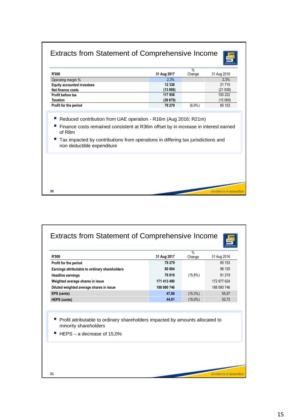## Extracts from Statement of Comprehensive Income



u id

|                                   |             | %      |             |
|-----------------------------------|-------------|--------|-------------|
| <b>R'000</b>                      | 31 Aug 2017 | Change | 31 Aug 2016 |
| Operating margin %                | 2.3%        |        | 2.3%        |
| <b>Equity accounted investees</b> | 12 3 38     |        | 21 7 15     |
| Net finance costs                 | (13006)     |        | (21838)     |
| Profit before tax                 | 117 958     |        | 100 222     |
| <b>Taxation</b>                   | (38679)     |        | (15069)     |
| Profit for the period             | 79 279      | (6,9%  | 85 153      |
|                                   |             |        |             |

Reduced contribution from UAE operation - R16m (Aug 2016: R21m)

**30**

- Finance costs remained consistent at R36m offset by in increase in interest earned of R8m
- Tax impacted by contributions from operations in differing tax jurisdictions and non deductible expenditure

| <b>R'000</b>                                                                                                 | 31 Aug 2017 | $\frac{9}{6}$<br>Change | 31 Aug 2016 |
|--------------------------------------------------------------------------------------------------------------|-------------|-------------------------|-------------|
| Profit for the period                                                                                        | 79 279      |                         | 85 153      |
| Earnings attributable to ordinary shareholders                                                               | 80 664      |                         | 96 125      |
| <b>Headline earnings</b>                                                                                     | 76816       | $(15,8\%)$              | 91 219      |
| Weighted average shares in issue                                                                             | 171 413 490 |                         | 172 977 624 |
| Diluted weighted average shares in issue                                                                     | 188 080 746 |                         | 188 080 746 |
| EPS (cents)                                                                                                  | 47,06       | $(15,3\%)$              | 55,57       |
| <b>HEPS</b> (cents)                                                                                          | 44,81       | $(15,0\%)$              | 52,73       |
| ×.<br>Profit attributable to ordinary shareholders impacted by amounts allocated to<br>minority shareholders |             |                         |             |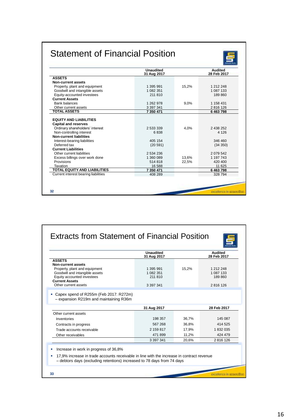## Statement of Financial Position



| 31 Aug 2017<br>1 395 991<br>15.2%<br>1 082 351<br>211 810<br>1 262 978<br>9.0%<br>3 3 9 7 3 4 1<br>7 350 471<br>2 533 339<br>4.0% | 1 212 248<br>1 087 133<br>189860<br>1 158 431<br>2816 126<br>6463798<br>2 438 252<br>4 1 2 6 |
|-----------------------------------------------------------------------------------------------------------------------------------|----------------------------------------------------------------------------------------------|
|                                                                                                                                   |                                                                                              |
|                                                                                                                                   |                                                                                              |
|                                                                                                                                   |                                                                                              |
|                                                                                                                                   |                                                                                              |
|                                                                                                                                   |                                                                                              |
|                                                                                                                                   |                                                                                              |
|                                                                                                                                   |                                                                                              |
|                                                                                                                                   |                                                                                              |
|                                                                                                                                   |                                                                                              |
|                                                                                                                                   |                                                                                              |
|                                                                                                                                   |                                                                                              |
| 6838                                                                                                                              |                                                                                              |
|                                                                                                                                   |                                                                                              |
| 405 154                                                                                                                           | 346 460                                                                                      |
| (20 591)                                                                                                                          | (34 350)                                                                                     |
|                                                                                                                                   |                                                                                              |
| 2 534 236                                                                                                                         | 2079542                                                                                      |
| 1 360 089<br>13.6%                                                                                                                | 1 197 743                                                                                    |
| 514818<br>22,5%                                                                                                                   | 420 400                                                                                      |
| 16 588                                                                                                                            | 11 625                                                                                       |
| 7 350 471                                                                                                                         | 6463798                                                                                      |
| 408 289                                                                                                                           | 328 794                                                                                      |
|                                                                                                                                   |                                                                                              |

| <b>ASSETS</b><br>Non-current assets<br>Property, plant and equipment<br>Goodwill and intangible assets<br>Equity accounted investees<br><b>Current Assets</b><br>Other current assets | 31 Aug 2017<br>1 395 991<br>1 082 351<br>211 810 | 15,2% | 1 212 248<br>1 087 133 |
|---------------------------------------------------------------------------------------------------------------------------------------------------------------------------------------|--------------------------------------------------|-------|------------------------|
|                                                                                                                                                                                       | 3 3 9 7 3 4 1                                    |       | 189860<br>2816 126     |
| • Capex spend of R255m (Feb 2017: R272m)<br>- expansion R219m and maintaining R36m                                                                                                    |                                                  |       | 28 Feb 2017            |
| Other current assets                                                                                                                                                                  | 31 Aug 2017                                      |       |                        |
| Inventories                                                                                                                                                                           | 198 357                                          | 36,7% | 145 087                |
| Contracts in progress                                                                                                                                                                 | 567 268                                          | 36.8% | 414 525                |
| Trade accounts receivable                                                                                                                                                             | 2 159 817                                        | 17.9% | 1 832 035              |
| Other receivables                                                                                                                                                                     | 471899                                           | 11,2% | 424 479                |
|                                                                                                                                                                                       |                                                  | 20.6% | 2816 126               |
|                                                                                                                                                                                       | 3 3 9 7 3 4 1                                    |       |                        |
|                                                                                                                                                                                       |                                                  |       |                        |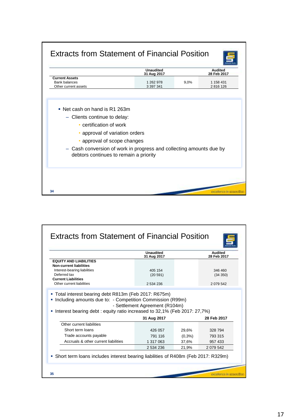|                                                                                                                                                                                                                                                                            | <b>Unaudited</b><br>31 Aug 2017 |      | <b>Audited</b><br>28 Feb 2017 |
|----------------------------------------------------------------------------------------------------------------------------------------------------------------------------------------------------------------------------------------------------------------------------|---------------------------------|------|-------------------------------|
| <b>Current Assets</b><br><b>Bank balances</b><br>Other current assets                                                                                                                                                                                                      | 1 262 978<br>3 397 341          | 9,0% | 1 158 431<br>2816126          |
| • Net cash on hand is R1 263m<br>- Clients continue to delay:<br>• certification of work<br>• approval of variation orders<br>• approval of scope changes<br>- Cash conversion of work in progress and collecting amounts due by<br>debtors continues to remain a priority |                                 |      |                               |

|                                                                                                                                                                                                | <b>Unaudited</b><br>31 Aug 2017 |         | Audited<br>28 Feb 2017 |
|------------------------------------------------------------------------------------------------------------------------------------------------------------------------------------------------|---------------------------------|---------|------------------------|
| <b>EQUITY AND LIABILITIES</b>                                                                                                                                                                  |                                 |         |                        |
| <b>Non-current liabilities</b><br>Interest-bearing liabilities                                                                                                                                 | 405 154                         |         | 346 460                |
| Deferred tax                                                                                                                                                                                   | (20591)                         |         | (34 350)               |
| <b>Current Liabilities</b>                                                                                                                                                                     |                                 |         |                        |
| Other current liabilities                                                                                                                                                                      | 2 534 236                       |         | 2079542                |
| ■ Total interest bearing debt R813m (Feb 2017: R675m)<br>Including amounts due to: - Competition Commission (R99m)<br>Interest bearing debt: equity ratio increased to 32,1% (Feb 2017: 27,7%) | - Settlement Agreement (R104m)  |         |                        |
|                                                                                                                                                                                                | 31 Aug 2017                     |         | 28 Feb 2017            |
| Other current liabilities                                                                                                                                                                      |                                 |         |                        |
| Short term loans                                                                                                                                                                               | 426 057                         | 29.6%   | 328 794                |
| Trade accounts payable                                                                                                                                                                         | 791 116                         | (0,3% ) | 793 315                |
| Accruals & other current liabilities                                                                                                                                                           | 1 317 063                       | 37,6%   | 957 433                |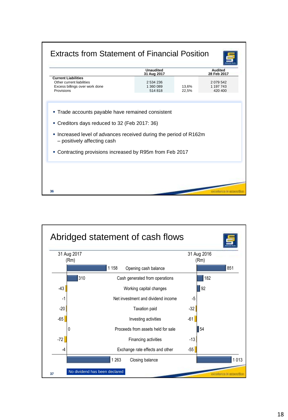

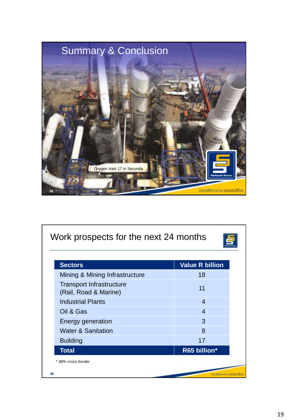

| <b>Sectors</b>                                           | <b>Value R billion</b> |
|----------------------------------------------------------|------------------------|
| Mining & Mining Infrastructure                           | 18                     |
| <b>Transport Infrastructure</b><br>(Rail, Road & Marine) | 11                     |
| <b>Industrial Plants</b>                                 | 4                      |
| Oil & Gas                                                | 4                      |
| <b>Energy generation</b>                                 | 3                      |
| <b>Water &amp; Sanitation</b>                            | 8                      |
| <b>Building</b>                                          | 17                     |
| <b>Total</b>                                             | R65 billion*           |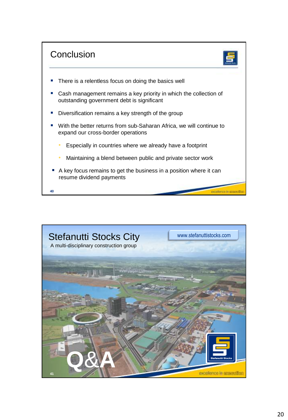